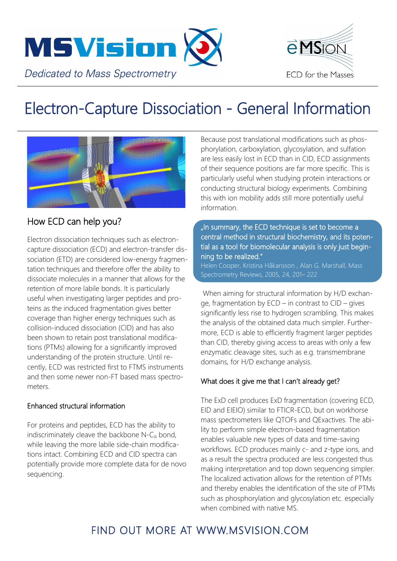



# Electron-Capture Dissociation - General Information



### How ECD can help you?

Electron dissociation techniques such as electroncapture dissociation (ECD) and electron-transfer dissociation (ETD) are considered low-energy fragmentation techniques and therefore offer the ability to dissociate molecules in a manner that allows for the retention of more labile bonds. It is particularly useful when investigating larger peptides and proteins as the induced fragmentation gives better coverage than higher energy techniques such as collision-induced dissociation (CID) and has also been shown to retain post translational modifications (PTMs) allowing for a significantly improved understanding of the protein structure. Until recently, ECD was restricted first to FTMS instruments and then some newer non-FT based mass spectrometers.

### Enhanced structural information

For proteins and peptides, ECD has the ability to indiscriminately cleave the backbone  $N-C_{\alpha}$  bond, while leaving the more labile side-chain modifications intact. Combining ECD and CID spectra can potentially provide more complete data for de novo sequencing.

Because post translational modifications such as phosphorylation, carboxylation, glycosylation, and sulfation are less easily lost in ECD than in CID, ECD assignments of their sequence positions are far more specific. This is particularly useful when studying protein interactions or conducting structural biology experiments. Combining this with ion mobility adds still more potentially useful information.

"In summary, the ECD technique is set to become a central method in structural biochemistry, and its potential as a tool for biomolecular analysis is only just beginning to be realized." Helen Cooper, Kristina Håkansson , Alan G. Marshall, Mass Spectrometry Reviews, 2005, 24, 201– 222

When aiming for structural information by H/D exchange, fragmentation by ECD – in contrast to CID – gives significantly less rise to hydrogen scrambling. This makes the analysis of the obtained data much simpler. Furthermore, ECD is able to efficiently fragment larger peptides than CID, thereby giving access to areas with only a few enzymatic cleavage sites, such as e.g. transmembrane domains, for H/D exchange analysis.

### What does it give me that I can't already get?

The localized activation allows for the retention of PTMs and thereby enables the identification of the site of PTMs such as phosphorylation and glycosylation etc. especially The ExD cell produces ExD fragmentation (covering ECD, EID and EIEIO) similar to FTICR-ECD, but on workhorse mass spectrometers like QTOFs and QExactives. The ability to perform simple electron-based fragmentation enables valuable new types of data and time-saving workflows. ECD produces mainly c- and z-type ions, and as a result the spectra produced are less congested thus making interpretation and top down sequencing simpler. when combined with native MS.

## FIND OUT MORE AT WWW.MSVISION.COM